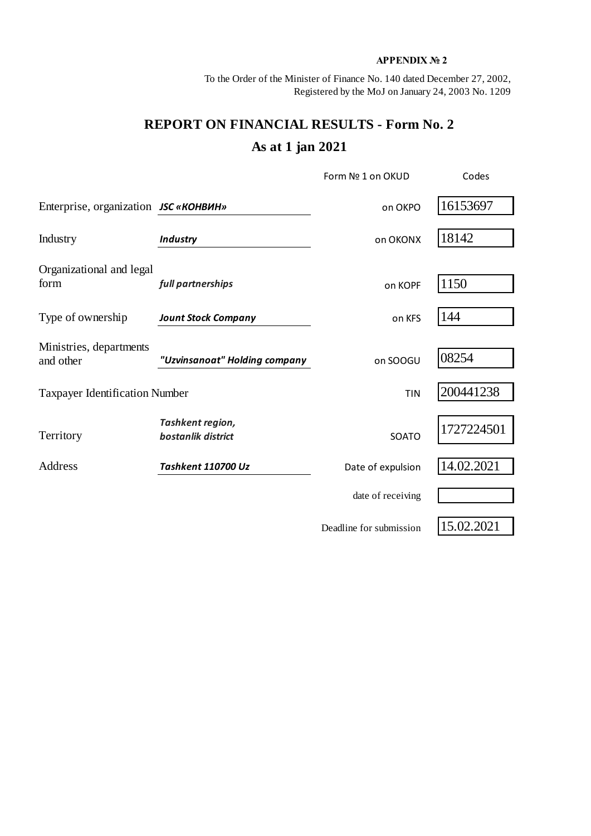## **APPENDIX № 2**

To the Order of the Minister of Finance No. 140 dated December 27, 2002, Registered by the MoJ on January 24, 2003 No. 1209

## **REPORT ON FINANCIAL RESULTS - Form No. 2 As at 1 jan 2021**

|                                       |                                        | Form Nº 1 on OKUD       | Codes      |  |
|---------------------------------------|----------------------------------------|-------------------------|------------|--|
| Enterprise, organization JSC «КОНВИН» |                                        | on OKPO                 | 16153697   |  |
| Industry                              | <b>Industry</b>                        | on OKONX                | 18142      |  |
| Organizational and legal<br>form      | full partnerships                      | on KOPF                 | 1150       |  |
| Type of ownership                     | <b>Jount Stock Company</b>             | on KFS                  | 144        |  |
| Ministries, departments<br>and other  | "Uzvinsanoat" Holding company          | on SOOGU                | 08254      |  |
| <b>Taxpayer Identification Number</b> |                                        | <b>TIN</b>              | 200441238  |  |
| Territory                             | Tashkent region,<br>bostanlik district | SOATO                   | 1727224501 |  |
| <b>Address</b>                        | Tashkent 110700 Uz                     | Date of expulsion       | 14.02.2021 |  |
|                                       |                                        | date of receiving       |            |  |
|                                       |                                        | Deadline for submission | 15.02.2021 |  |